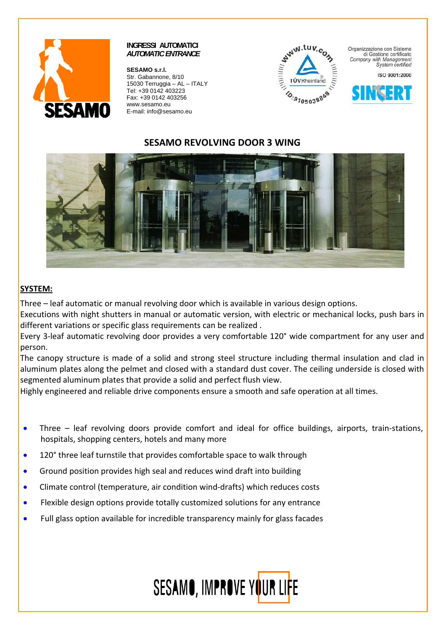

**SESAMO s.r.l.**  Str. Gabannone, 8/10 15030 Terruggia – AL – ITALY Tel: +39 0142 403223 Fax: +39 0142 403256 www.sesamo.eu E-mail: info@sesamo.eu



Organizzazione con Sistema di Gestione certificato Company with Management System certified

ISO 9001:2000



# **SESAMO REVOLVING DOOR 3 WING**



# **SYSTEM:**

Three – leaf automatic or manual revolving door which is available in various design options.

Executions with night shutters in manual or automatic version, with electric or mechanical locks, push bars in different variations or specific glass requirements can be realized .

Every 3‐leaf automatic revolving door provides a very comfortable 120° wide compartment for any user and person.

The canopy structure is made of a solid and strong steel structure including thermal insulation and clad in aluminum plates along the pelmet and closed with a standard dust cover. The ceiling underside is closed with segmented aluminum plates that provide a solid and perfect flush view.

Highly engineered and reliable drive components ensure a smooth and safe operation at all times.

- Three leaf revolving doors provide comfort and ideal for office buildings, airports, train-stations, hospitals, shopping centers, hotels and many more
- 120° three leaf turnstile that provides comfortable space to walk through
- Ground position provides high seal and reduces wind draft into building
- Climate control (temperature, air condition wind‐drafts) which reduces costs
- Flexible design options provide totally customized solutions for any entrance
- Full glass option available for incredible transparency mainly for glass facades

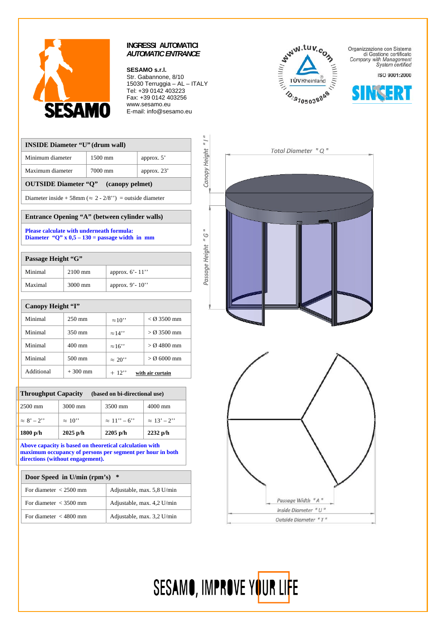

#### **SESAMO s.r.l.**

Str. Gabannone, 8/10 15030 Terruggia – AL – ITALY Tel: +39 0142 403223 Fax: +39 0142 403256 www.sesamo.eu E-mail: info@sesamo.eu

| <b>WW.tuv.com</b> |  |
|-------------------|--|
|                   |  |
|                   |  |
| TÜVRheinland      |  |
| 3.9105038848      |  |

Total Diameter " Q"

Passage Width "A" Inside Diameter " U " Outside Diameter "T"

SESAMO, IMPROVE YOUR LIFE

Organizzazione con Sistema di Gestione certificato Company with Management<br>System certified

ISO 9001:2000



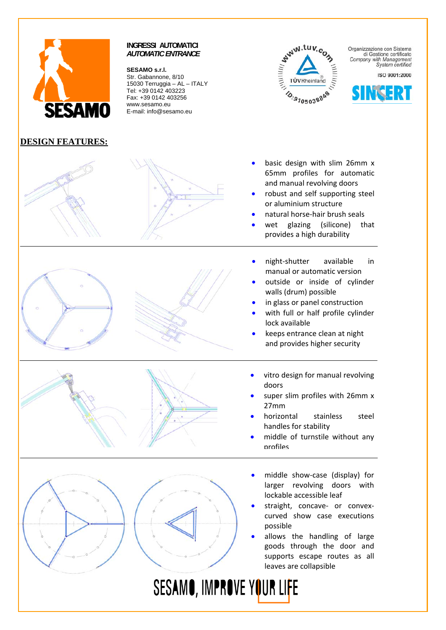![](_page_2_Picture_0.jpeg)

**DESIGN FEATURES:** 

# **INGRESSI AUTOMATICI**  *AUTOMATIC ENTRANCE*

**SESAMO s.r.l.** 

Str. Gabannone, 8/10 15030 Terruggia – AL – ITALY Tel: +39 0142 403223 Fax: +39 0142 403256 www.sesamo.eu E-mail: info@sesamo.eu

# **WWW.tuv** *MITHIN* TÜVRheinland 10:9105038848

Organizzazione con Sistema di Gestione certificato Company with Management<br>System certified

ISO 9001:2000

![](_page_2_Picture_7.jpeg)

- basic design with slim 26mm x 65mm profiles for automatic and manual revolving doors
- robust and self supporting steel or aluminium structure
- natural horse‐hair brush seals
- wet glazing (silicone) that provides a high durability
- night‐shutter available in manual or automatic version
- outside or inside of cylinder walls (drum) possible
- in glass or panel construction
- with full or half profile cylinder lock available
- keeps entrance clean at night and provides higher security
- vitro design for manual revolving doors
- super slim profiles with 26mm x 27mm
- horizontal stainless steel handles for stability
- middle of turnstile without any profiles
- middle show‐case (display) for larger revolving doors with lockable accessible leaf
- straight, concave- or convexcurved show case executions possible
- allows the handling of large goods through the door and supports escape routes as all leaves are collapsible

SESAMO, IMPROVE YOUR LIFE

![](_page_2_Picture_25.jpeg)

![](_page_2_Picture_26.jpeg)

![](_page_2_Picture_27.jpeg)

![](_page_2_Picture_28.jpeg)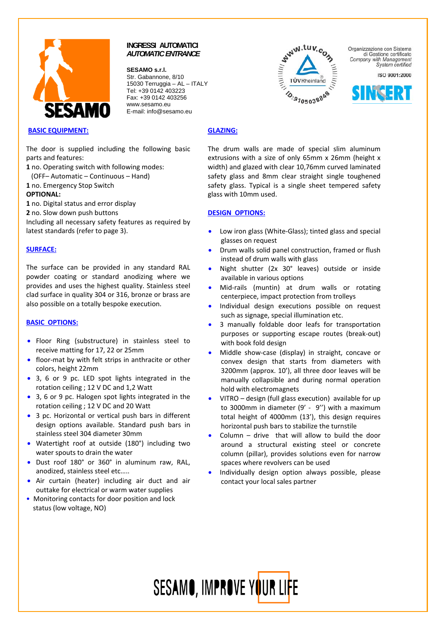![](_page_3_Picture_0.jpeg)

**SESAMO s.r.l.**  Str. Gabannone, 8/10 15030 Terruggia – AL – ITALY Tel: +39 0142 403223 Fax: +39 0142 403256 www.sesamo.eu E-mail: info@sesamo.eu

![](_page_3_Picture_3.jpeg)

The door is supplied including the following basic parts and features:

**1** no. Operating switch with following modes:

(OFF– Automatic – Continuous – Hand)

**1** no. Emergency Stop Switch

#### **OPTIONAL:**

**1** no. Digital status and error display

**2** no. Slow down push buttons

Including all necessary safety features as required by latest standards (refer to page 3).

#### **SURFACE:**

The surface can be provided in any standard RAL powder coating or standard anodizing where we provides and uses the highest quality. Stainless steel clad surface in quality 304 or 316, bronze or brass are also possible on a totally bespoke execution.

#### **BASIC OPTIONS:**

- Floor Ring (substructure) in stainless steel to receive matting for 17, 22 or 25mm
- floor-mat by with felt strips in anthracite or other colors, height 22mm
- 3, 6 or 9 pc. LED spot lights integrated in the rotation ceiling ; 12 V DC and 1,2 Watt
- 3, 6 or 9 pc. Halogen spot lights integrated in the rotation ceiling ; 12 V DC and 20 Watt
- 3 pc. Horizontal or vertical push bars in different design options available. Standard push bars in stainless steel 304 diameter 30mm
- Watertight roof at outside (180°) including two water spouts to drain the water
- Dust roof 180° or 360° in aluminum raw, RAL, anodized, stainless steel etc…..
- Air curtain (heater) including air duct and air outtake for electrical or warm water supplies
- Monitoring contacts for door position and lock status (low voltage, NO)

![](_page_3_Picture_24.jpeg)

Organizzazione con Sistema di Gestione certificato Company with Management System certified

ISO 9001:2000

![](_page_3_Picture_27.jpeg)

#### **GLAZING:**

The drum walls are made of special slim aluminum extrusions with a size of only 65mm x 26mm (height x width) and glazed with clear 10,76mm curved laminated safety glass and 8mm clear straight single toughened safety glass. Typical is a single sheet tempered safety glass with 10mm used.

#### **DESIGN OPTIONS:**

- Low iron glass (White‐Glass); tinted glass and special glasses on request
- Drum walls solid panel construction, framed or flush instead of drum walls with glass
- Night shutter (2x 30° leaves) outside or inside available in various options
- Mid-rails (muntin) at drum walls or rotating centerpiece, impact protection from trolleys
- Individual design executions possible on request such as signage, special illumination etc.
- 3 manually foldable door leafs for transportation purposes or supporting escape routes (break‐out) with book fold design
- Middle show-case (display) in straight, concave or convex design that starts from diameters with 3200mm (approx. 10'), all three door leaves will be manually collapsible and during normal operation hold with electromagnets
- VITRO design (full glass execution) available for up to 3000mm in diameter (9' ‐ 9'') with a maximum total height of 4000mm (13'), this design requires horizontal push bars to stabilize the turnstile
- Column  $-$  drive that will allow to build the door around a structural existing steel or concrete column (pillar), provides solutions even for narrow spaces where revolvers can be used
- Individually design option always possible, please contact your local sales partner

![](_page_3_Picture_41.jpeg)